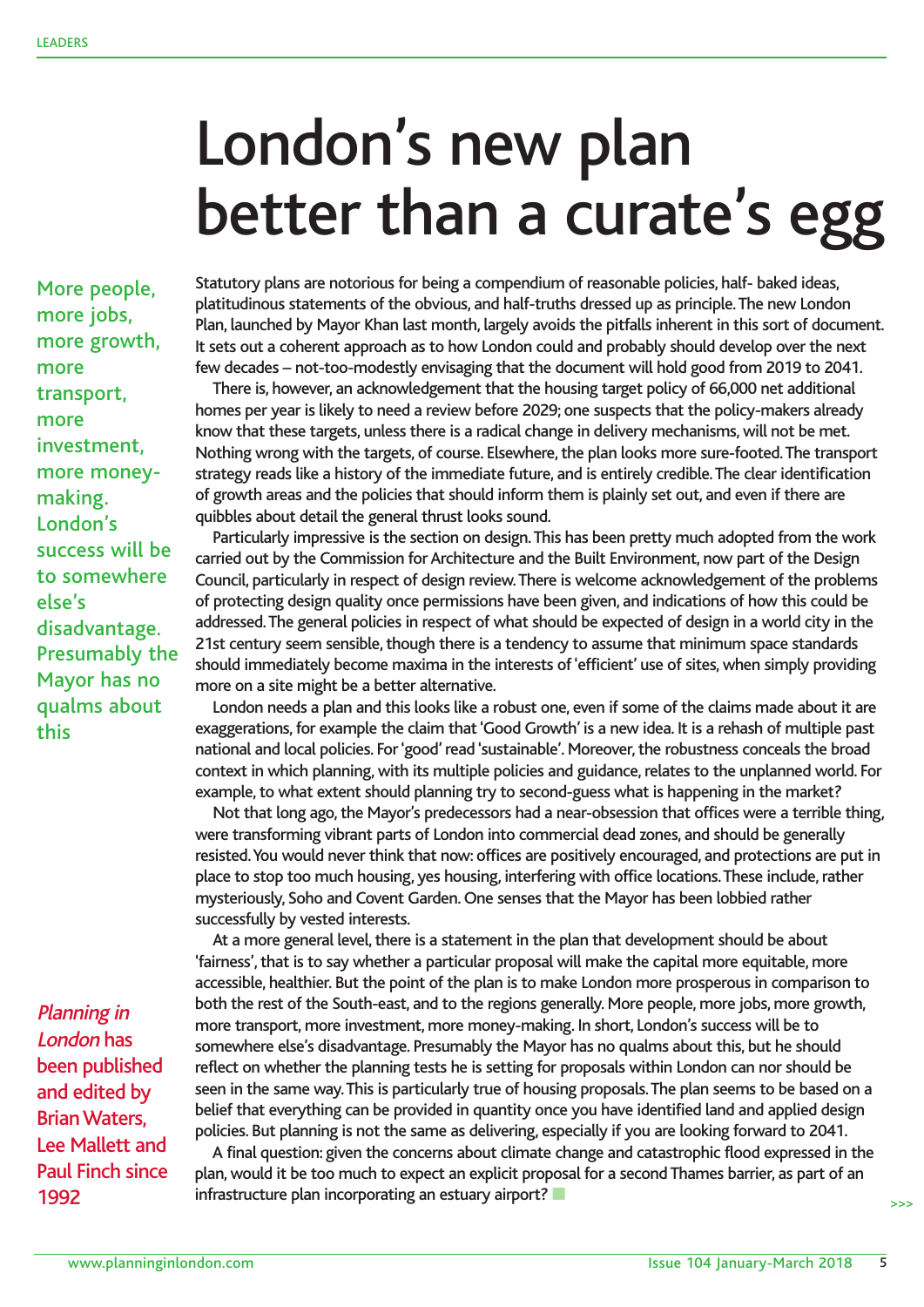## London's new plan better than a curate's egg

More people, more jobs, more growth, more transport, more investment, more moneymaking. London's success will be to somewhere else's disadvantage. Presumably the Mayor has no qualms about this

Planning in London has been published and edited by **Brian Waters.** Lee Mallett and Paul Finch since 1992

Statutory plans are notorious for being a compendium of reasonable policies, half- baked ideas, platitudinous statements of the obvious, and half-truths dressed up as principle.The new London Plan, launched by Mayor Khan last month, largely avoids the pitfalls inherent in this sort of document. It sets out a coherent approach as to how London could and probably should develop over the next few decades – not-too-modestly envisaging that the document will hold good from 2019 to 2041.

There is, however, an acknowledgement that the housing target policy of 66,000 net additional homes per year is likely to need a review before 2029; one suspects that the policy-makers already know that these targets, unless there is a radical change in delivery mechanisms, will not be met. Nothing wrong with the targets, of course. Elsewhere, the plan looks more sure-footed. The transport strategy reads like a history of the immediate future, and is entirely credible.The clear identification of growth areas and the policies that should inform them is plainly set out, and even if there are quibbles about detail the general thrust looks sound.

Particularly impressive is the section on design. This has been pretty much adopted from the work carried out by the Commission for Architecture and the Built Environment, now part of the Design Council, particularly in respect of design review.There is welcome acknowledgement of the problems of protecting design quality once permissions have been given, and indications of how this could be addressed.The general policies in respect of what should be expected of design in a world city in the 21st century seem sensible, though there is a tendency to assume that minimum space standards should immediately become maxima in the interests of'efficient' use of sites, when simply providing more on a site might be a better alternative.

London needs a plan and this looks like a robust one, even if some of the claims made about it are exaggerations,for example the claim that'Good Growth' is a new idea. It is a rehash of multiple past national and local policies. For 'good' read 'sustainable'. Moreover, the robustness conceals the broad context in which planning, with its multiple policies and guidance, relates to the unplanned world. For example, to what extent should planning try to second-guess what is happening in the market?

Not that long ago, the Mayor's predecessors had a near-obsession that offices were a terrible thing, were transforming vibrant parts of London into commercial dead zones, and should be generally resisted.You would never think that now: offices are positively encouraged, and protections are put in place to stop too much housing, yes housing, interfering with office locations. These include, rather mysteriously, Soho and Covent Garden. One senses that the Mayor has been lobbied rather successfully by vested interests.

At a more general level, there is a statement in the plan that development should be about 'fairness', that is to say whether a particular proposal will make the capital more equitable, more accessible, healthier. But the point of the plan is to make London more prosperous in comparison to both the rest of the South-east, and to the regions generally. More people, more jobs, more growth, more transport, more investment, more money-making. In short, London's success will be to somewhere else's disadvantage. Presumably the Mayor has no qualms about this, but he should reflect on whether the planning tests he is setting for proposals within London can nor should be seen in the same way.This is particularly true of housing proposals.The plan seems to be based on a belief that everything can be provided in quantity once you have identified land and applied design policies. But planning is not the same as delivering, especially if you are looking forward to 2041.

A final question: given the concerns about climate change and catastrophic flood expressed in the plan, would it be too much to expect an explicit proposal for a second Thames barrier, as part of an infrastructure plan incorporating an estuary airport?

>>>